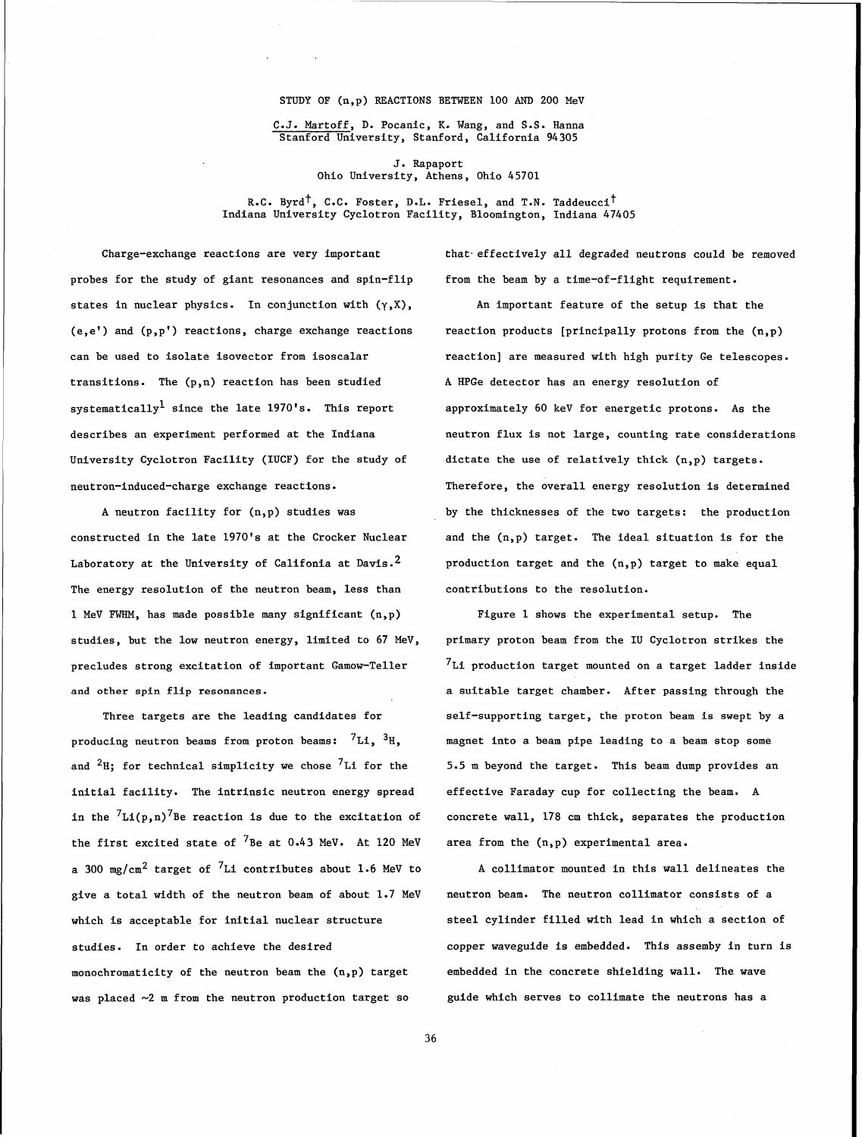## STUDY OF (n,p) REACTIONS BETWEEN 100 AND 200 MeV

C.J. Martoff, D. Pocanic, **K.** Wang, and S.S. Hanna Stanford University, Stanford, California 94305

> **J.** Rapaport Ohio University, Athens, Ohio 45701

R.C. Byrd<sup>†</sup>, C.C. Foster, D.L. Friesel, and T.N. Taddeucci<sup>†</sup> Indiana University Cyclotron Facility, Bloomington, Indiana 47405

probes for the study of giant resonances and spin-flip from the beam by a time-of-flight requirement. states in nuclear physics. In conjunction with  $(\gamma, X)$ ,  $\qquad$  An important feature of the setup is that the  $(e,e')$  and  $(p,p')$  reactions, charge exchange reactions reaction products [principally protons from the  $(n,p)$ transitions. The (p,n) reaction has been studied A HPGe detector has an energy resolution of systematically<sup>1</sup> since the late 1970's. This report approximately 60 keV for energetic protons. As the University Cyclotron Facility (IUCF) for the study of dictate the use of relatively thick (n,p) targets.

constructed in the late 1970's at the Crocker Nuclear and the (n,p) target. The ideal situation is for the Laboratory at the University of Califonia at Davis.<sup>2</sup> production target and the (n,p) target to make equal The energy resolution of the neutron beam, less than contributions to the resolution. 1 MeV FWHM, has made possible many significant (n,p) Figure 1 shows the experimental setup. The studies, but the low neutron energy, limited to 67 MeV, primary proton beam from the IU Cyclotron strikes the and other spin flip resonances.  $\qquad \qquad \qquad$  a suitable target chamber. After passing through the

Three targets are the leading candidates for producing neutron beams from proton beams:  ${}^{7}Li$ ,  ${}^{3}H$ , and  ${}^{2}$ H; for technical simplicity we chose  ${}^{7}$ Li for the initial facility. The intrinsic neutron energy spread in the  ${}^{7}Li(p,n){}^{7}$ Be reaction is due to the excitation of the first excited state of  ${}^{7}$ Be at 0.43 MeV. At 120 MeV a 300 mg/cm<sup>2</sup> target of <sup>7</sup>Li contributes about 1.6 MeV to give a total width of the neutron beam of about 1.7 MeV which is acceptable for initial nuclear structure studies. In order to achieve the desired monochromaticity of the neutron beam the (n,p) target

was placed  $\sim$ 2 m from the neutron production target so

Charge-exchange reactions are very important that effectively all degraded neutrons could be removed

can be used to isolate isovector from isoscalar **reaction**] are measured with high purity Ge telescopes. describes an experiment performed at the Indiana neutron flux is not large, counting rate considerations neutron-induced-charge exchange reactions. Therefore, the overall energy resolution is determined A neutron facility for (n,p) studies was by the thicknesses of the two targets: the production

precludes strong excitation of important Gamow-Teller  $7\text{Li}$  production target mounted on a target ladder inside self-supporting target, the proton beam is swept by a magnet into a beam pipe leading to a beam stop some 5.5 m beyond the target. This beam dump provides an effective Faraday cup for collecting the beam. A concrete wall, 178 cm thick, separates the production area from the (n,p) experimental area.

> A collimator mounted in this wall delineates the neutron beam. The neutron collimator consists of a steel cylinder filled with lead in which a section of copper waveguide is embedded. This assemby in turn is embedded in the concrete shielding wall. The wave guide which serves to collimate the neutrons has a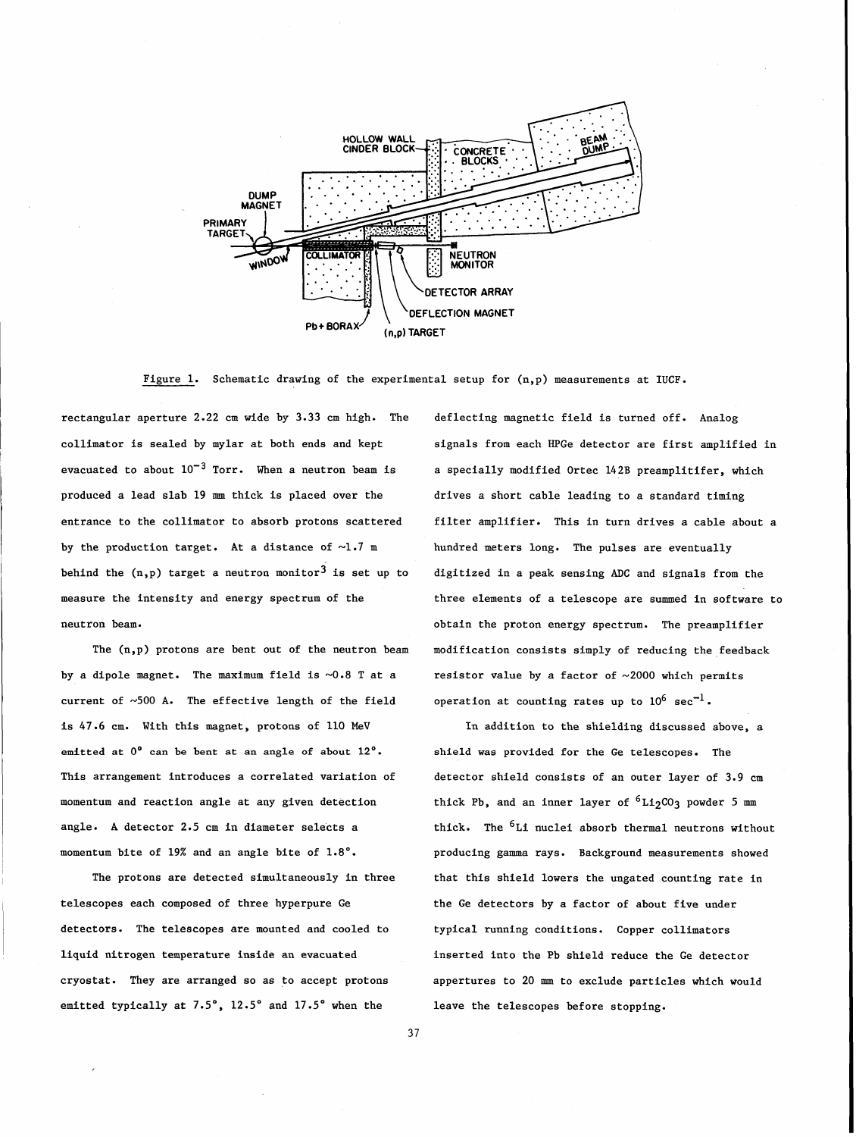

Figure 1. Schematic drawing of the experimental setup for  $(n, p)$  measurements at IUCF.

rectangular aperture 2.22 cm wide by 3.33 cm high. The deflecting magnetic field is turned off. Analog collimator is sealed by mylar at both ends and kept signals from each HPGe detector are first amplified in evacuated to about  $10^{-3}$  Torr. When a neutron beam is a specially modified Ortec 142B preamplitifer, which produced a lead slab 19 **mm** thick is placed over the drives a short cable leading to a standard timing entrance to the collimator to absorb protons scattered filter amplifier. This in turn drives a cable about a by the production target. At a distance of  $\sim 1.7$  m hundred meters long. The pulses are eventually behind the  $(n,p)$  target a neutron monitor<sup>3</sup> is set up to measure the intensity and energy spectrum of the neutron beam.

The (n,p) protons are bent out of the neutron beam by a dipole magnet. The maximum field is  $\sim 0.8$  T at a current of  $~500$  A. The effective length of the field is 47.6 cm. With this magnet, protons of 110 MeV **emitted at 0' can be bent at an angle of about 12'.**  This arrangement introduces a correlated variation of momentum and reaction angle at any given detection angle. A detector 2.5 cm in diameter selects a momentum bite of 19% and an angle bite of 1.8'.

The protons are detected simultaneously in three telescopes each composed of three hyperpure **Ge**  detectors. The telescopes are mounted and cooled to liquid nitrogen temperature inside an evacuated cryostat. They are arranged so as to accept protons emitted typically at  $7.5^\circ$ ,  $12.5^\circ$  and  $17.5^\circ$  when the

digitized in a peak sensing ADC and signals from the three elements of a telescope are summed in software to obtain the proton energy spectrum. The preamplifier modification consists simply of reducing the feedback resistor value by a factor of  $\sim 2000$  which permits operation at counting rates up to  $10^6$  sec<sup>-1</sup>.

In addition to the shielding discussed above, a shield was provided for the Ge telescopes. The detector shield consists of an outer layer of 3.9 cm thick Pb, and an inner layer of  ${}^{6}Li_{2}CO_{3}$  powder 5 mm thick. The  ${}^{6}$ Li nuclei absorb thermal neutrons without producing gamma rays. Background measurements showed that this shield lowers the ungated counting rate in the Ge detectors by a factor of about five under typical running conditions. Copper collimators inserted into the Pb shield reduce the Ge detector appertures to 20 **mm** to exclude particles which would leave the telescopes before stopping.

37